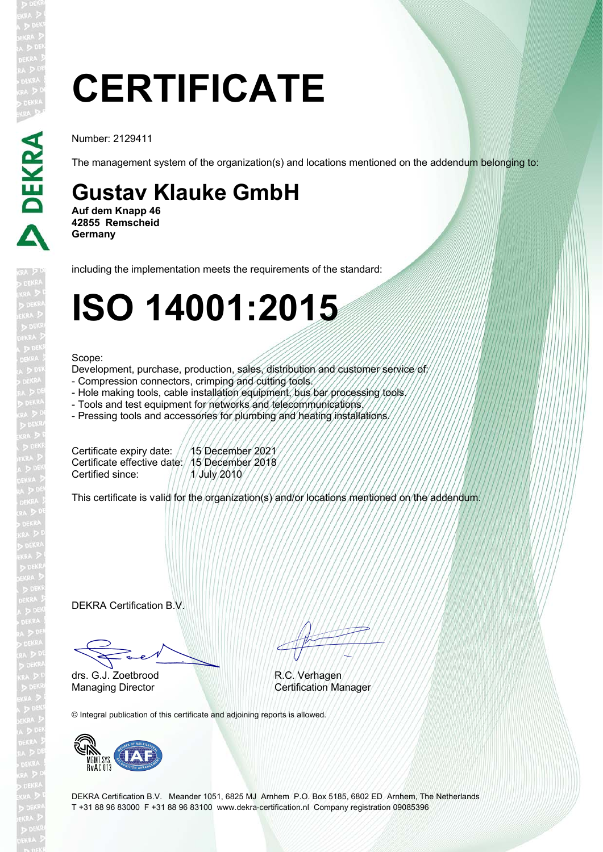# **CERTIFICATE**

Number: 2129411

The management system of the organization(s) and locations mentioned on the addendum belonging to:

### **Gustav Klauke GmbH**

**Auf dem Knapp 46 42855 Remscheid Germany**

including the implementation meets the requirements of the standard:

## **ISO 14001:2015**

#### Scope:

Development, purchase, production, sales, distribution and customer service of:

- Compression connectors, crimping and cutting tools.
- Hole making tools, cable installation equipment, bus bar processing tools.
- Tools and test equipment for networks and telecommunications.
- Pressing tools and accessories for plumbing and heating installations.

Certificate expiry date: ///15 December 2021 Certificate effective date: 15 December 2018 Certified since:  $\frac{1}{1}$   $\frac{1}{4}$  July 2010

This certificate is valid for the organization(s) and/or locations mentioned on the addendum.

DEKRA Certification B.V.

Fred drs. G.J. Zoetbrood

EN TITULI

R.C. Verhagen Managing Director Certification Manager

© Integral publication of this certificate and adjoining reports is allowed.



DEKRA Certification B.V. Meander 1051, 6825 MJ Arnhem P.O. Box 5185, 6802 ED Arnhem, The Netherlands T +31 88 96 83000 F +31 88 96 83100 www.dekra-certification.nl Company registration 09085396